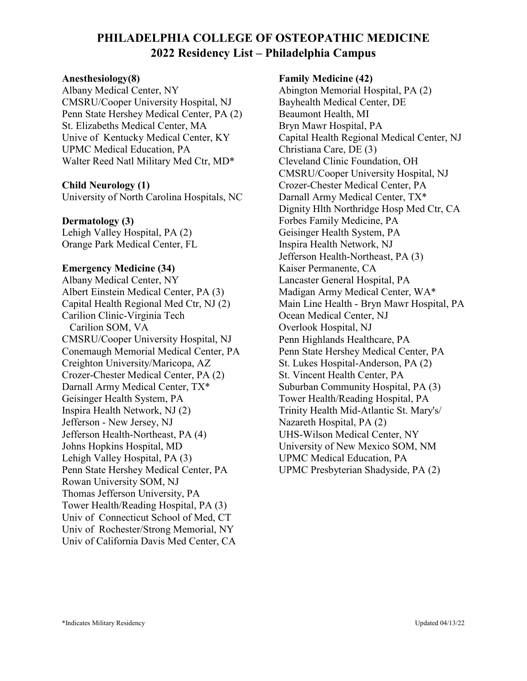# **PHILADELPHIA COLLEGE OF OSTEOPATHIC MEDICINE 2022 Residency List – Philadelphia Campus**

#### **Anesthesiology(8)**

Albany Medical Center, NY CMSRU/Cooper University Hospital, NJ Penn State Hershey Medical Center, PA (2) St. Elizabeths Medical Center, MA Unive of Kentucky Medical Center, KY UPMC Medical Education, PA Walter Reed Natl Military Med Ctr, MD\*

#### **Child Neurology (1)**

University of North Carolina Hospitals, NC

#### **Dermatology (3)**

Lehigh Valley Hospital, PA (2) Orange Park Medical Center, FL

#### **Emergency Medicine (34)**

Albany Medical Center, NY Albert Einstein Medical Center, PA (3) Capital Health Regional Med Ctr, NJ (2) Carilion Clinic-Virginia Tech Carilion SOM, VA CMSRU/Cooper University Hospital, NJ Conemaugh Memorial Medical Center, PA Creighton University/Maricopa, AZ Crozer-Chester Medical Center, PA (2) Darnall Army Medical Center, TX\* Geisinger Health System, PA Inspira Health Network, NJ (2) Jefferson - New Jersey, NJ Jefferson Health-Northeast, PA (4) Johns Hopkins Hospital, MD Lehigh Valley Hospital, PA (3) Penn State Hershey Medical Center, PA Rowan University SOM, NJ Thomas Jefferson University, PA Tower Health/Reading Hospital, PA (3) Univ of Connecticut School of Med, CT Univ of Rochester/Strong Memorial, NY Univ of California Davis Med Center, CA

#### **Family Medicine (42)**

Abington Memorial Hospital, PA (2) Bayhealth Medical Center, DE Beaumont Health, MI Bryn Mawr Hospital, PA Capital Health Regional Medical Center, NJ Christiana Care, DE (3) Cleveland Clinic Foundation, OH CMSRU/Cooper University Hospital, NJ Crozer-Chester Medical Center, PA Darnall Army Medical Center, TX\* Dignity Hlth Northridge Hosp Med Ctr, CA Forbes Family Medicine, PA Geisinger Health System, PA Inspira Health Network, NJ Jefferson Health-Northeast, PA (3) Kaiser Permanente, CA Lancaster General Hospital, PA Madigan Army Medical Center, WA\* Main Line Health - Bryn Mawr Hospital, PA Ocean Medical Center, NJ Overlook Hospital, NJ Penn Highlands Healthcare, PA Penn State Hershey Medical Center, PA St. Lukes Hospital-Anderson, PA (2) St. Vincent Health Center, PA Suburban Community Hospital, PA (3) Tower Health/Reading Hospital, PA Trinity Health Mid-Atlantic St. Mary's/ Nazareth Hospital, PA (2) UHS-Wilson Medical Center, NY University of New Mexico SOM, NM UPMC Medical Education, PA UPMC Presbyterian Shadyside, PA (2)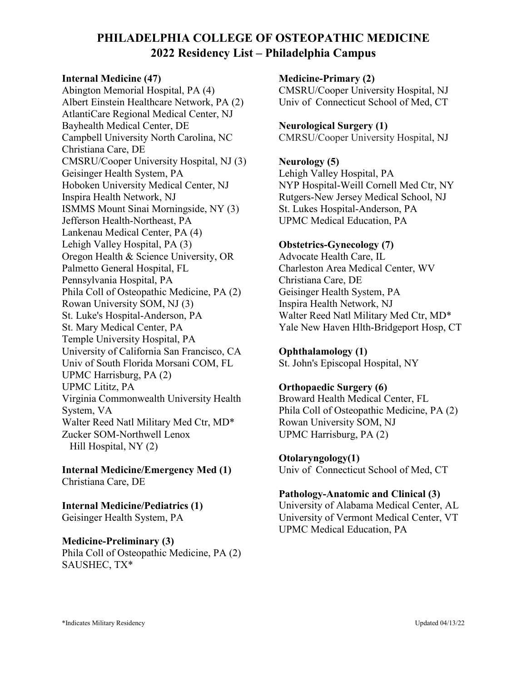# **PHILADELPHIA COLLEGE OF OSTEOPATHIC MEDICINE 2022 Residency List – Philadelphia Campus**

#### **Internal Medicine (47)**

Abington Memorial Hospital, PA (4) Albert Einstein Healthcare Network, PA (2) AtlantiCare Regional Medical Center, NJ Bayhealth Medical Center, DE Campbell University North Carolina, NC Christiana Care, DE CMSRU/Cooper University Hospital, NJ (3) Geisinger Health System, PA Hoboken University Medical Center, NJ Inspira Health Network, NJ ISMMS Mount Sinai Morningside, NY (3) Jefferson Health-Northeast, PA Lankenau Medical Center, PA (4) Lehigh Valley Hospital, PA (3) Oregon Health & Science University, OR Palmetto General Hospital, FL Pennsylvania Hospital, PA Phila Coll of Osteopathic Medicine, PA (2) Rowan University SOM, NJ (3) St. Luke's Hospital-Anderson, PA St. Mary Medical Center, PA Temple University Hospital, PA University of California San Francisco, CA Univ of South Florida Morsani COM, FL UPMC Harrisburg, PA (2) UPMC Lititz, PA Virginia Commonwealth University Health System, VA Walter Reed Natl Military Med Ctr, MD\* Zucker SOM-Northwell Lenox Hill Hospital, NY (2)

**Internal Medicine/Emergency Med (1)** Christiana Care, DE

**Internal Medicine/Pediatrics (1)** Geisinger Health System, PA

#### **Medicine-Preliminary (3)**

Phila Coll of Osteopathic Medicine, PA (2) SAUSHEC, TX\*

**Medicine-Primary (2)**

CMSRU/Cooper University Hospital, NJ Univ of Connecticut School of Med, CT

#### **Neurological Surgery (1)**

CMRSU/Cooper University Hospital, NJ

#### **Neurology (5)**

Lehigh Valley Hospital, PA NYP Hospital-Weill Cornell Med Ctr, NY Rutgers-New Jersey Medical School, NJ St. Lukes Hospital-Anderson, PA UPMC Medical Education, PA

#### **Obstetrics-Gynecology (7)**

Advocate Health Care, IL Charleston Area Medical Center, WV Christiana Care, DE Geisinger Health System, PA Inspira Health Network, NJ Walter Reed Natl Military Med Ctr, MD\* Yale New Haven Hlth-Bridgeport Hosp, CT

## **Ophthalamology (1)**

St. John's Episcopal Hospital, NY

#### **Orthopaedic Surgery (6)**

Broward Health Medical Center, FL Phila Coll of Osteopathic Medicine, PA (2) Rowan University SOM, NJ UPMC Harrisburg, PA (2)

## **Otolaryngology(1)**

Univ of Connecticut School of Med, CT

#### **Pathology-Anatomic and Clinical (3)**

University of Alabama Medical Center, AL University of Vermont Medical Center, VT UPMC Medical Education, PA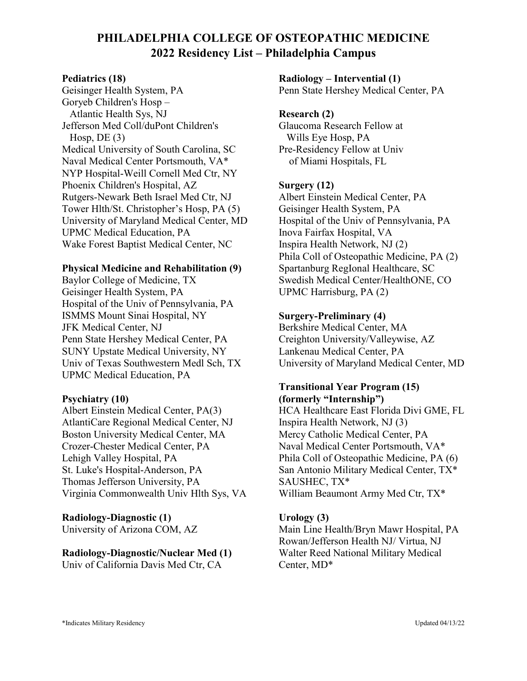# **PHILADELPHIA COLLEGE OF OSTEOPATHIC MEDICINE 2022 Residency List – Philadelphia Campus**

#### **Pediatrics (18)**

Geisinger Health System, PA Goryeb Children's Hosp – Atlantic Health Sys, NJ Jefferson Med Coll/duPont Children's Hosp,  $DE(3)$ Medical University of South Carolina, SC Naval Medical Center Portsmouth, VA\* NYP Hospital-Weill Cornell Med Ctr, NY Phoenix Children's Hospital, AZ Rutgers-Newark Beth Israel Med Ctr, NJ Tower Hlth/St. Christopher's Hosp, PA (5) University of Maryland Medical Center, MD UPMC Medical Education, PA Wake Forest Baptist Medical Center, NC

#### **Physical Medicine and Rehabilitation (9)**

Baylor College of Medicine, TX Geisinger Health System, PA Hospital of the Univ of Pennsylvania, PA ISMMS Mount Sinai Hospital, NY JFK Medical Center, NJ Penn State Hershey Medical Center, PA SUNY Upstate Medical University, NY Univ of Texas Southwestern Medl Sch, TX UPMC Medical Education, PA

#### **Psychiatry (10)**

Albert Einstein Medical Center, PA(3) AtlantiCare Regional Medical Center, NJ Boston University Medical Center, MA Crozer-Chester Medical Center, PA Lehigh Valley Hospital, PA St. Luke's Hospital-Anderson, PA Thomas Jefferson University, PA Virginia Commonwealth Univ Hlth Sys, VA

#### **Radiology-Diagnostic (1)**

University of Arizona COM, AZ

## **Radiology-Diagnostic/Nuclear Med (1)**

Univ of California Davis Med Ctr, CA

**Radiology – Intervential (1)**

Penn State Hershey Medical Center, PA

#### **Research (2)**

Glaucoma Research Fellow at Wills Eye Hosp, PA Pre-Residency Fellow at Univ of Miami Hospitals, FL

#### **Surgery (12)**

Albert Einstein Medical Center, PA Geisinger Health System, PA Hospital of the Univ of Pennsylvania, PA Inova Fairfax Hospital, VA Inspira Health Network, NJ (2) Phila Coll of Osteopathic Medicine, PA (2) Spartanburg RegIonal Healthcare, SC Swedish Medical Center/HealthONE, CO UPMC Harrisburg, PA (2)

#### **Surgery-Preliminary (4)**

Berkshire Medical Center, MA Creighton University/Valleywise, AZ Lankenau Medical Center, PA University of Maryland Medical Center, MD

#### **Transitional Year Program (15) (formerly "Internship")**

HCA Healthcare East Florida Divi GME, FL Inspira Health Network, NJ (3) Mercy Catholic Medical Center, PA Naval Medical Center Portsmouth, VA\* Phila Coll of Osteopathic Medicine, PA (6) San Antonio Military Medical Center, TX\* SAUSHEC, TX\* William Beaumont Army Med Ctr, TX\*

#### **Urology (3)**

Main Line Health/Bryn Mawr Hospital, PA Rowan/Jefferson Health NJ/ Virtua, NJ Walter Reed National Military Medical Center, MD\*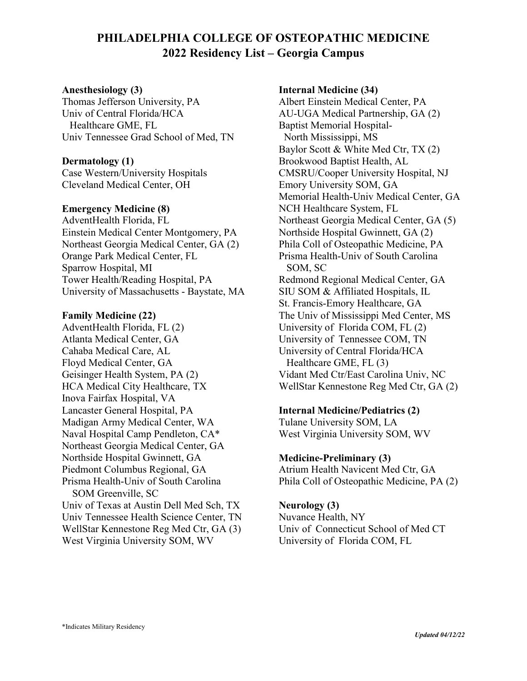# **PHILADELPHIA COLLEGE OF OSTEOPATHIC MEDICINE 2022 Residency List – Georgia Campus**

#### **Anesthesiology (3)**

Thomas Jefferson University, PA Univ of Central Florida/HCA Healthcare GME, FL Univ Tennessee Grad School of Med, TN

#### **Dermatology (1)**

Case Western/University Hospitals Cleveland Medical Center, OH

#### **Emergency Medicine (8)**

AdventHealth Florida, FL Einstein Medical Center Montgomery, PA Northeast Georgia Medical Center, GA (2) Orange Park Medical Center, FL Sparrow Hospital, MI Tower Health/Reading Hospital, PA University of Massachusetts - Baystate, MA

#### **Family Medicine (22)**

AdventHealth Florida, FL (2) Atlanta Medical Center, GA Cahaba Medical Care, AL Floyd Medical Center, GA Geisinger Health System, PA (2) HCA Medical City Healthcare, TX Inova Fairfax Hospital, VA Lancaster General Hospital, PA Madigan Army Medical Center, WA Naval Hospital Camp Pendleton, CA\* Northeast Georgia Medical Center, GA Northside Hospital Gwinnett, GA Piedmont Columbus Regional, GA Prisma Health-Univ of South Carolina SOM Greenville, SC Univ of Texas at Austin Dell Med Sch, TX Univ Tennessee Health Science Center, TN WellStar Kennestone Reg Med Ctr, GA (3) West Virginia University SOM, WV

#### **Internal Medicine (34)**

Albert Einstein Medical Center, PA AU-UGA Medical Partnership, GA (2) Baptist Memorial Hospital- North Mississippi, MS Baylor Scott & White Med Ctr, TX (2) Brookwood Baptist Health, AL CMSRU/Cooper University Hospital, NJ Emory University SOM, GA Memorial Health-Univ Medical Center, GA NCH Healthcare System, FL Northeast Georgia Medical Center, GA (5) Northside Hospital Gwinnett, GA (2) Phila Coll of Osteopathic Medicine, PA Prisma Health-Univ of South Carolina SOM, SC Redmond Regional Medical Center, GA SIU SOM & Affiliated Hospitals, IL St. Francis-Emory Healthcare, GA The Univ of Mississippi Med Center, MS University of Florida COM, FL (2) University of Tennessee COM, TN University of Central Florida/HCA Healthcare GME, FL (3) Vidant Med Ctr/East Carolina Univ, NC WellStar Kennestone Reg Med Ctr, GA (2)

#### **Internal Medicine/Pediatrics (2)**

Tulane University SOM, LA West Virginia University SOM, WV

#### **Medicine-Preliminary (3)**

Atrium Health Navicent Med Ctr, GA Phila Coll of Osteopathic Medicine, PA (2)

#### **Neurology (3)**

Nuvance Health, NY Univ of Connecticut School of Med CT University of Florida COM, FL